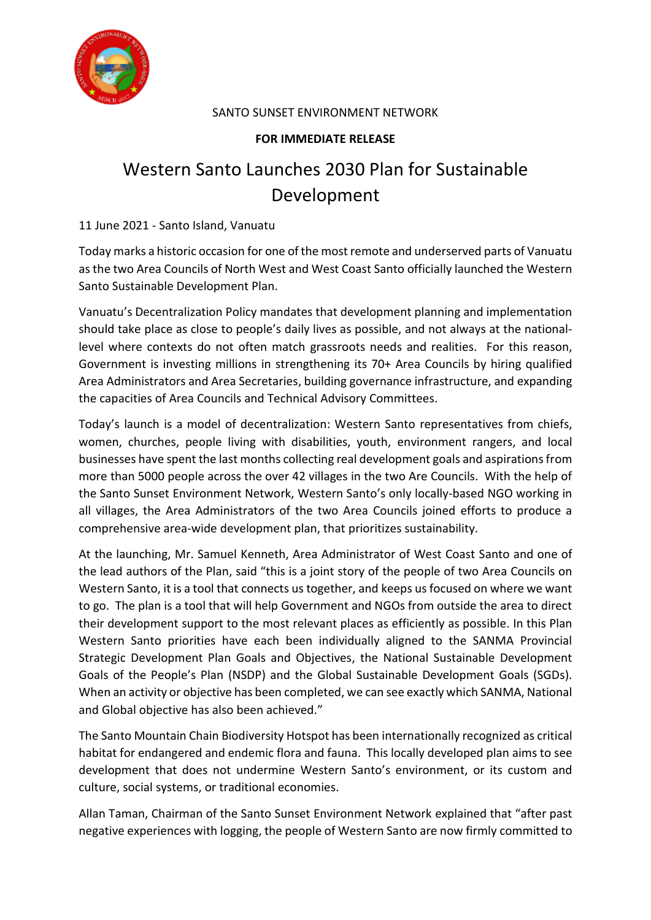

# SANTO SUNSET ENVIRONMENT NETWORK

# **FOR IMMEDIATE RELEASE**

# Western Santo Launches 2030 Plan for Sustainable Development

11 June 2021 - Santo Island, Vanuatu

Today marks a historic occasion for one of the most remote and underserved parts of Vanuatu as the two Area Councils of North West and West Coast Santo officially launched the Western Santo Sustainable Development Plan.

Vanuatu's Decentralization Policy mandates that development planning and implementation should take place as close to people's daily lives as possible, and not always at the nationallevel where contexts do not often match grassroots needs and realities. For this reason, Government is investing millions in strengthening its 70+ Area Councils by hiring qualified Area Administrators and Area Secretaries, building governance infrastructure, and expanding the capacities of Area Councils and Technical Advisory Committees.

Today's launch is a model of decentralization: Western Santo representatives from chiefs, women, churches, people living with disabilities, youth, environment rangers, and local businesses have spent the last months collecting real development goals and aspirations from more than 5000 people across the over 42 villages in the two Are Councils. With the help of the Santo Sunset Environment Network, Western Santo's only locally-based NGO working in all villages, the Area Administrators of the two Area Councils joined efforts to produce a comprehensive area-wide development plan, that prioritizes sustainability.

At the launching, Mr. Samuel Kenneth, Area Administrator of West Coast Santo and one of the lead authors of the Plan, said "this is a joint story of the people of two Area Councils on Western Santo, it is a tool that connects us together, and keeps us focused on where we want to go. The plan is a tool that will help Government and NGOs from outside the area to direct their development support to the most relevant places as efficiently as possible. In this Plan Western Santo priorities have each been individually aligned to the SANMA Provincial Strategic Development Plan Goals and Objectives, the National Sustainable Development Goals of the People's Plan (NSDP) and the Global Sustainable Development Goals (SGDs). When an activity or objective has been completed, we can see exactly which SANMA, National and Global objective has also been achieved."

The Santo Mountain Chain Biodiversity Hotspot has been internationally recognized as critical habitat for endangered and endemic flora and fauna. This locally developed plan aims to see development that does not undermine Western Santo's environment, or its custom and culture, social systems, or traditional economies.

Allan Taman, Chairman of the Santo Sunset Environment Network explained that "after past negative experiences with logging, the people of Western Santo are now firmly committed to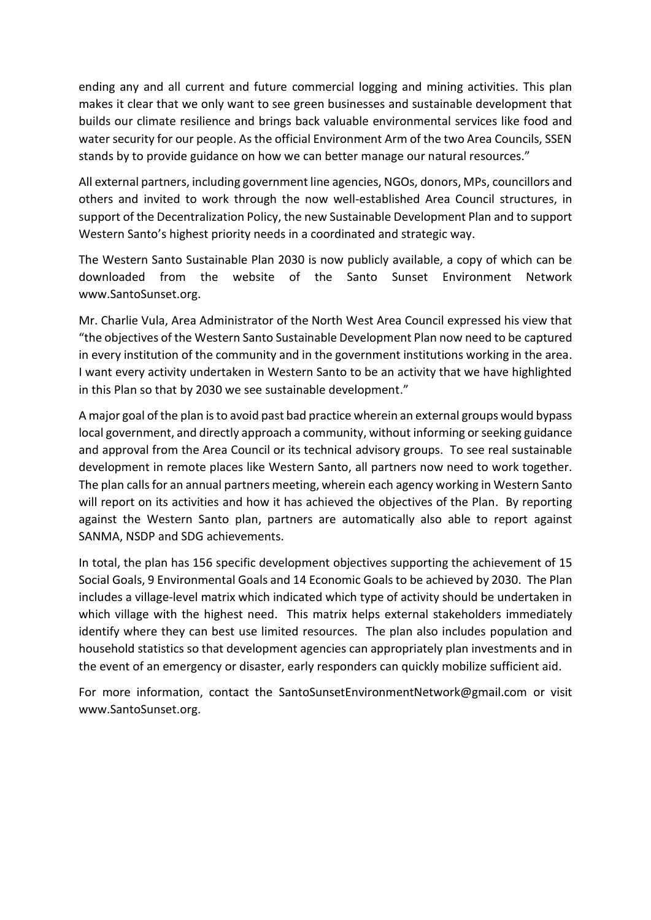ending any and all current and future commercial logging and mining activities. This plan makes it clear that we only want to see green businesses and sustainable development that builds our climate resilience and brings back valuable environmental services like food and water security for our people. As the official Environment Arm of the two Area Councils, SSEN stands by to provide guidance on how we can better manage our natural resources."

All external partners, including government line agencies, NGOs, donors, MPs, councillors and others and invited to work through the now well-established Area Council structures, in support of the Decentralization Policy, the new Sustainable Development Plan and to support Western Santo's highest priority needs in a coordinated and strategic way.

The Western Santo Sustainable Plan 2030 is now publicly available, a copy of which can be downloaded from the website of the Santo Sunset Environment Network [www.SantoSunset.org.](http://www.santosunset.org/)

Mr. Charlie Vula, Area Administrator of the North West Area Council expressed his view that "the objectives of the Western Santo Sustainable Development Plan now need to be captured in every institution of the community and in the government institutions working in the area. I want every activity undertaken in Western Santo to be an activity that we have highlighted in this Plan so that by 2030 we see sustainable development."

A major goal of the plan is to avoid past bad practice wherein an external groups would bypass local government, and directly approach a community, without informing or seeking guidance and approval from the Area Council or its technical advisory groups. To see real sustainable development in remote places like Western Santo, all partners now need to work together. The plan calls for an annual partners meeting, wherein each agency working in Western Santo will report on its activities and how it has achieved the objectives of the Plan. By reporting against the Western Santo plan, partners are automatically also able to report against SANMA, NSDP and SDG achievements.

In total, the plan has 156 specific development objectives supporting the achievement of 15 Social Goals, 9 Environmental Goals and 14 Economic Goals to be achieved by 2030. The Plan includes a village-level matrix which indicated which type of activity should be undertaken in which village with the highest need. This matrix helps external stakeholders immediately identify where they can best use limited resources. The plan also includes population and household statistics so that development agencies can appropriately plan investments and in the event of an emergency or disaster, early responders can quickly mobilize sufficient aid.

For more information, contact the [SantoSunsetEnvironmentNetwork@gmail.com](mailto:SantoSunsetEnvironmentNetwork@gmail.com) or visit [www.SantoSunset.org.](http://www.santosunset.org/)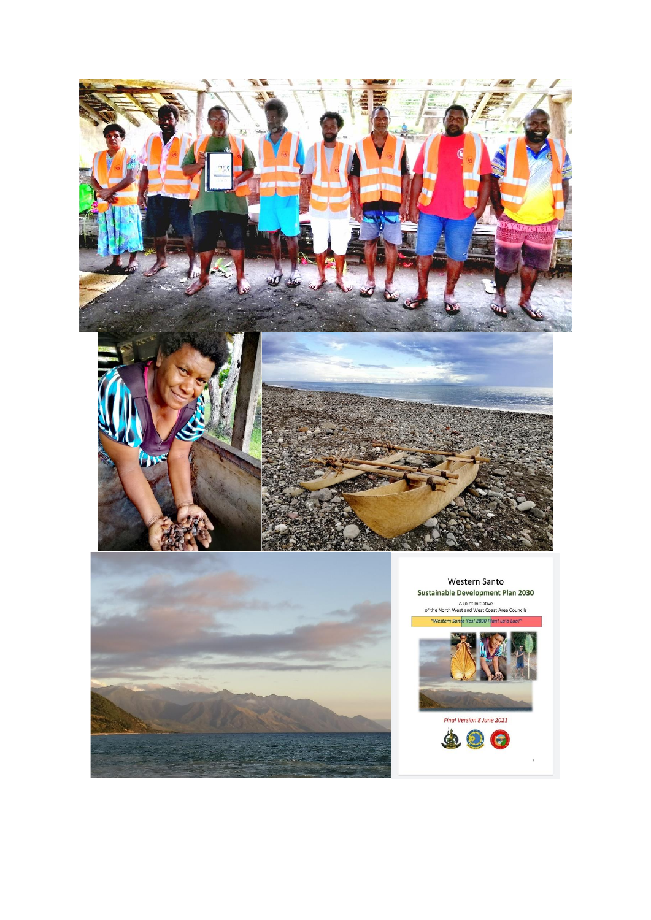